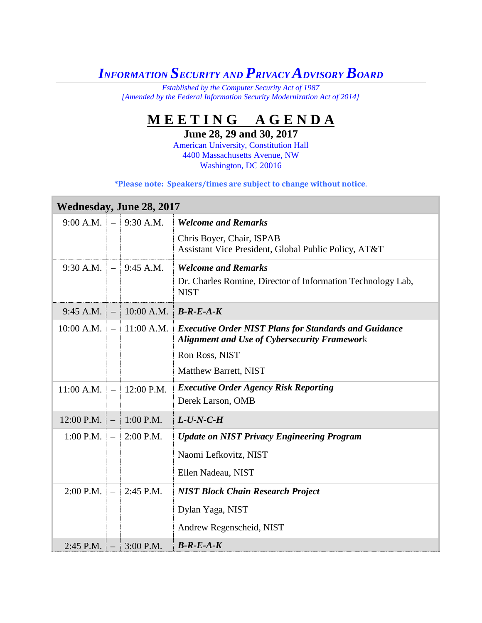## *INFORMATION SECURITY AND PRIVACY ADVISORY BOARD*

*Established by the Computer Security Act of 1987 [Amended by the Federal Information Security Modernization Act of 2014]*

## **M E E T I N G A G E N D A**

**June 28, 29 and 30, 2017**

American University, Constitution Hall 4400 Massachusetts Avenue, NW Washington, DC 20016

| <b>Wednesday, June 28, 2017</b> |  |                                           |                                                                                                                     |  |
|---------------------------------|--|-------------------------------------------|---------------------------------------------------------------------------------------------------------------------|--|
|                                 |  | $9:00$ A.M. $-$ 9:30 A.M.                 | <b>Welcome and Remarks</b>                                                                                          |  |
|                                 |  |                                           | Chris Boyer, Chair, ISPAB<br>Assistant Vice President, Global Public Policy, AT&T                                   |  |
|                                 |  | $9:30$ A.M. $-$ 9:45 A.M.                 | <b>Welcome and Remarks</b><br>Dr. Charles Romine, Director of Information Technology Lab,<br><b>NIST</b>            |  |
|                                 |  | 9:45 A.M. $-$ 10:00 A.M. <b>B-R-E-A-K</b> |                                                                                                                     |  |
|                                 |  | $10:00$ A.M. $-11:00$ A.M.                | <b>Executive Order NIST Plans for Standards and Guidance</b><br><b>Alignment and Use of Cybersecurity Framework</b> |  |
|                                 |  |                                           | Ron Ross, NIST                                                                                                      |  |
|                                 |  |                                           | Matthew Barrett, NIST                                                                                               |  |
|                                 |  | $11:00$ A.M. $-$ 12:00 P.M.               | <b>Executive Order Agency Risk Reporting</b><br>Derek Larson, OMB                                                   |  |
| 12:00 P.M. $-$ 1:00 P.M.        |  |                                           | $L$ -U-N-C-H                                                                                                        |  |
|                                 |  | 1:00 P.M. $-$ 2:00 P.M.                   | <b>Update on NIST Privacy Engineering Program</b>                                                                   |  |
|                                 |  |                                           | Naomi Lefkovitz, NIST                                                                                               |  |
|                                 |  |                                           | Ellen Nadeau, NIST                                                                                                  |  |
|                                 |  | $2:00$ P.M. $-$ 2:45 P.M.                 | <b>NIST Block Chain Research Project</b>                                                                            |  |
|                                 |  |                                           | Dylan Yaga, NIST                                                                                                    |  |
|                                 |  |                                           | Andrew Regenscheid, NIST                                                                                            |  |
| $2:45$ P.M.                     |  | $-13:00$ P.M.                             | $B-R-E-A-K$                                                                                                         |  |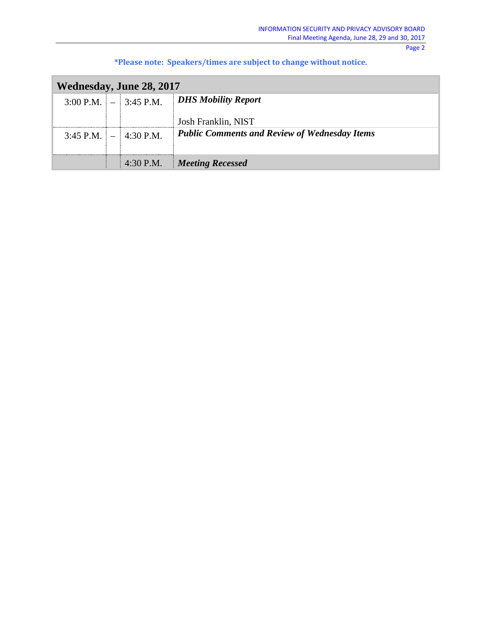| Wednesday, June 28, 2017    |  |                       |                                                      |  |  |
|-----------------------------|--|-----------------------|------------------------------------------------------|--|--|
| $3:00$ P.M. $\vert - \vert$ |  | $\parallel$ 3:45 P.M. | <b>DHS Mobility Report</b>                           |  |  |
|                             |  |                       | Josh Franklin, NIST                                  |  |  |
| 3:45 P.M. $-$ 4:30 P.M.     |  |                       | <b>Public Comments and Review of Wednesday Items</b> |  |  |
|                             |  |                       |                                                      |  |  |
|                             |  | 4:30 P.M.             | <b>Meeting Recessed</b>                              |  |  |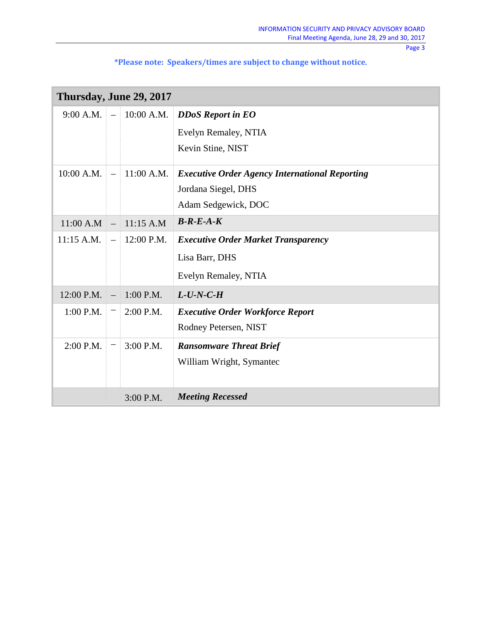| Thursday, June 29, 2017 |                          |              |                                                       |  |
|-------------------------|--------------------------|--------------|-------------------------------------------------------|--|
| 9:00 A.M.               | $\equiv$                 | $10:00$ A.M. | <b>DDoS Report in EO</b>                              |  |
|                         |                          |              | Evelyn Remaley, NTIA                                  |  |
|                         |                          |              | Kevin Stine, NIST                                     |  |
| 10:00 A.M.              | $\equiv$                 | 11:00 A.M.   | <b>Executive Order Agency International Reporting</b> |  |
|                         |                          |              | Jordana Siegel, DHS                                   |  |
|                         |                          |              | Adam Sedgewick, DOC                                   |  |
| 11:00 A.M               | $\overline{\phantom{m}}$ | 11:15 A.M    | $B-R-E-A-K$                                           |  |
| 11:15 A.M.              | $\overline{\phantom{0}}$ | 12:00 P.M.   | <b>Executive Order Market Transparency</b>            |  |
|                         |                          |              | Lisa Barr, DHS                                        |  |
|                         |                          |              | Evelyn Remaley, NTIA                                  |  |
| 12:00 P.M.              |                          | $1:00$ P.M.  | $L$ -U-N-C-H                                          |  |
| $1:00$ P.M.             |                          | $2:00$ P.M.  | <b>Executive Order Workforce Report</b>               |  |
|                         |                          |              | Rodney Petersen, NIST                                 |  |
| 2:00 P.M.               |                          | $3:00$ P.M.  | <b>Ransomware Threat Brief</b>                        |  |
|                         |                          |              | William Wright, Symantec                              |  |
|                         |                          |              |                                                       |  |
|                         |                          | $3:00$ P.M.  | <b>Meeting Recessed</b>                               |  |